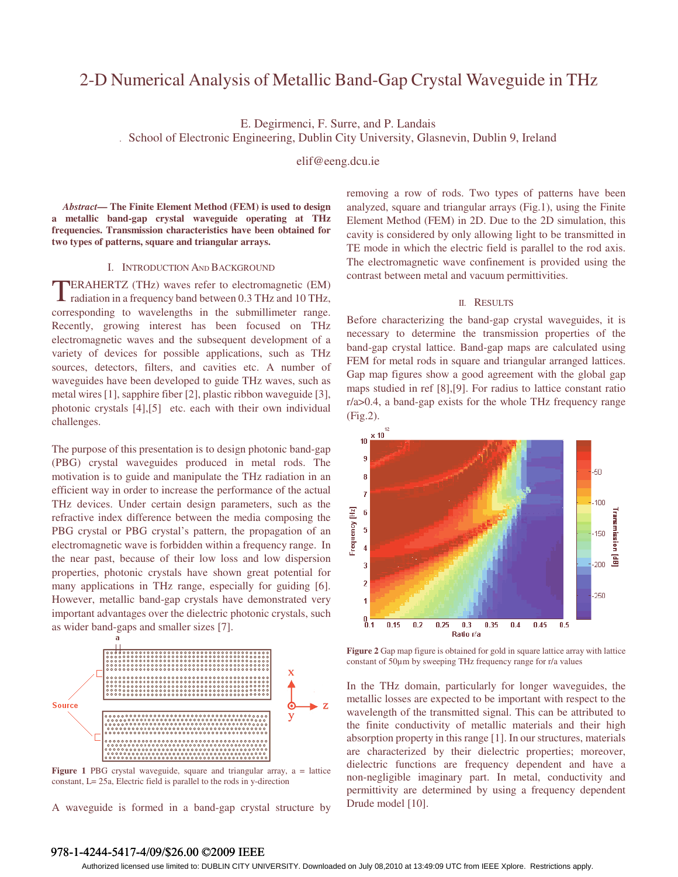# 2-D Numerical Analysis of Metallic Band-Gap Crystal Waveguide in THz

E. Degirmenci, F. Surre, and P. Landais

*.* School of Electronic Engineering, Dublin City University, Glasnevin, Dublin 9, Ireland

elif@eeng.dcu.ie

*Abstract***— The Finite Element Method (FEM) is used to design a metallic band-gap crystal waveguide operating at THz frequencies. Transmission characteristics have been obtained for two types of patterns, square and triangular arrays.** 

# I. INTRODUCTION AND BACKGROUND

ERAHERTZ (THz) waves refer to electromagnetic (EM) radiation in a frequency band between 0.3 THz and 10 THz, corresponding to wavelengths in the submillimeter range. Recently, growing interest has been focused on THz electromagnetic waves and the subsequent development of a variety of devices for possible applications, such as THz sources, detectors, filters, and cavities etc. A number of waveguides have been developed to guide THz waves, such as metal wires [1], sapphire fiber [2], plastic ribbon waveguide [3], photonic crystals [4],[5] etc. each with their own individual challenges. T

The purpose of this presentation is to design photonic band-gap (PBG) crystal waveguides produced in metal rods. The motivation is to guide and manipulate the THz radiation in an efficient way in order to increase the performance of the actual THz devices. Under certain design parameters, such as the refractive index difference between the media composing the PBG crystal or PBG crystal's pattern, the propagation of an electromagnetic wave is forbidden within a frequency range. In the near past, because of their low loss and low dispersion properties, photonic crystals have shown great potential for many applications in THz range, especially for guiding [6]. However, metallic band-gap crystals have demonstrated very important advantages over the dielectric photonic crystals, such as wider band-gaps and smaller sizes [7].



Figure 1 PBG crystal waveguide, square and triangular array, a = lattice constant, L= 25a, Electric field is parallel to the rods in y-direction

A waveguide is formed in a band-gap crystal structure by

removing a row of rods. Two types of patterns have been analyzed, square and triangular arrays (Fig.1), using the Finite Element Method (FEM) in 2D. Due to the 2D simulation, this cavity is considered by only allowing light to be transmitted in TE mode in which the electric field is parallel to the rod axis. The electromagnetic wave confinement is provided using the contrast between metal and vacuum permittivities.

# II. RESULTS

Before characterizing the band-gap crystal waveguides, it is necessary to determine the transmission properties of the band-gap crystal lattice. Band-gap maps are calculated using FEM for metal rods in square and triangular arranged lattices. Gap map figures show a good agreement with the global gap maps studied in ref [8],[9]. For radius to lattice constant ratio r/a>0.4, a band-gap exists for the whole THz frequency range (Fig.2).



**Figure 2** Gap map figure is obtained for gold in square lattice array with lattice constant of 50µm by sweeping THz frequency range for r/a values

In the THz domain, particularly for longer waveguides, the metallic losses are expected to be important with respect to the wavelength of the transmitted signal. This can be attributed to the finite conductivity of metallic materials and their high absorption property in this range [1]. In our structures, materials are characterized by their dielectric properties; moreover, dielectric functions are frequency dependent and have a non-negligible imaginary part. In metal, conductivity and permittivity are determined by using a frequency dependent Drude model [10].

# 978-1-4244-5417-4/09/\$26.00 ©2009 IEEE

Authorized licensed use limited to: DUBLIN CITY UNIVERSITY. Downloaded on July 08,2010 at 13:49:09 UTC from IEEE Xplore. Restrictions apply.